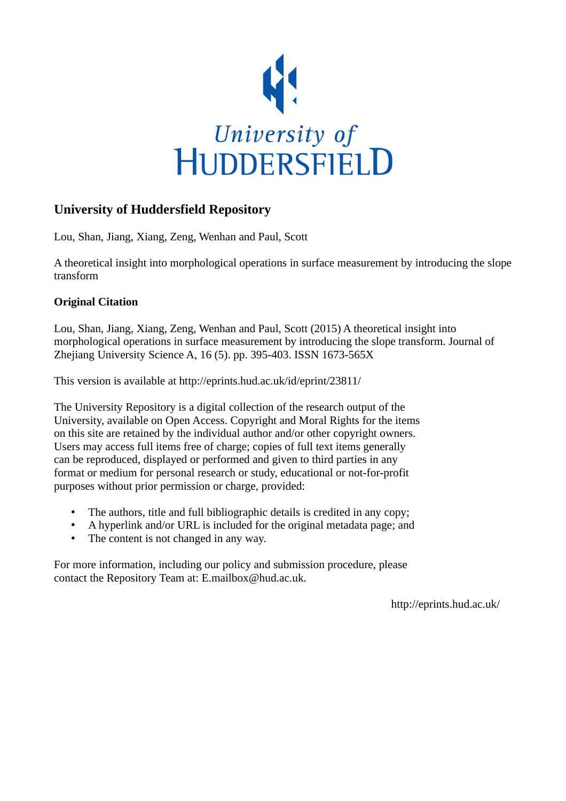

# **University of Huddersfield Repository**

Lou, Shan, Jiang, Xiang, Zeng, Wenhan and Paul, Scott

A theoretical insight into morphological operations in surface measurement by introducing the slope transform

# **Original Citation**

Lou, Shan, Jiang, Xiang, Zeng, Wenhan and Paul, Scott (2015) A theoretical insight into morphological operations in surface measurement by introducing the slope transform. Journal of Zhejiang University Science A, 16 (5). pp. 395-403. ISSN 1673-565X

This version is available at http://eprints.hud.ac.uk/id/eprint/23811/

The University Repository is a digital collection of the research output of the University, available on Open Access. Copyright and Moral Rights for the items on this site are retained by the individual author and/or other copyright owners. Users may access full items free of charge; copies of full text items generally can be reproduced, displayed or performed and given to third parties in any format or medium for personal research or study, educational or not-for-profit purposes without prior permission or charge, provided:

- The authors, title and full bibliographic details is credited in any copy;
- A hyperlink and/or URL is included for the original metadata page; and
- The content is not changed in any way.

For more information, including our policy and submission procedure, please contact the Repository Team at: E.mailbox@hud.ac.uk.

http://eprints.hud.ac.uk/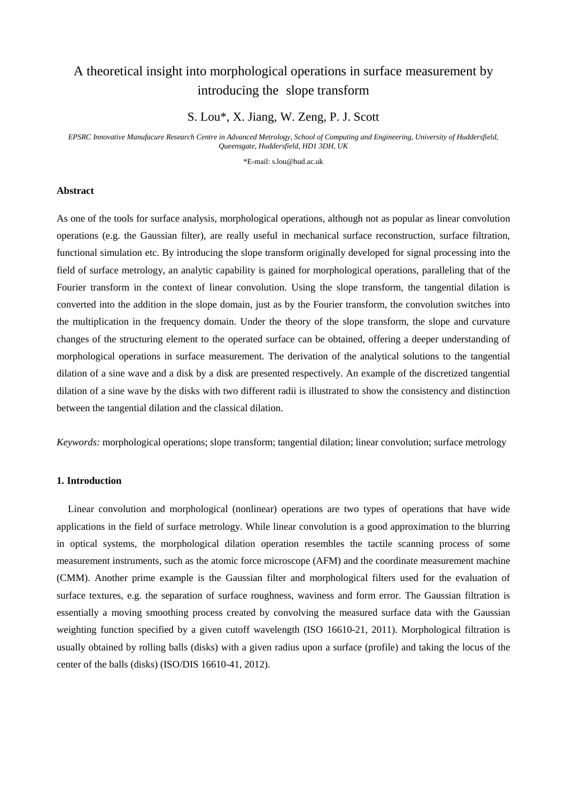# A theoretical insight into morphological operations in surface measurement by introducing the slope transform

S. Lou\*, X. Jiang, W. Zeng, P. J. Scott

*EPSRC Innovative Manufacure Research Centre in Advanced Metrology, School of Computing and Engineering, University of Huddersfield, Queensgate, Huddersfield, HD1 3DH, UK*

\*E-mail: s.lou@hud.ac.uk

#### **Abstract**

As one of the tools for surface analysis, morphological operations, although not as popular as linear convolution operations (e.g. the Gaussian filter), are really useful in mechanical surface reconstruction, surface filtration, functional simulation etc. By introducing the slope transform originally developed for signal processing into the field of surface metrology, an analytic capability is gained for morphological operations, paralleling that of the Fourier transform in the context of linear convolution. Using the slope transform, the tangential dilation is converted into the addition in the slope domain, just as by the Fourier transform, the convolution switches into the multiplication in the frequency domain. Under the theory of the slope transform, the slope and curvature changes of the structuring element to the operated surface can be obtained, offering a deeper understanding of morphological operations in surface measurement. The derivation of the analytical solutions to the tangential dilation of a sine wave and a disk by a disk are presented respectively. An example of the discretized tangential dilation of a sine wave by the disks with two different radii is illustrated to show the consistency and distinction between the tangential dilation and the classical dilation.

*Keywords:* morphological operations; slope transform; tangential dilation; linear convolution; surface metrology

### **1. Introduction**

Linear convolution and morphological (nonlinear) operations are two types of operations that have wide applications in the field of surface metrology. While linear convolution is a good approximation to the blurring in optical systems, the morphological dilation operation resembles the tactile scanning process of some measurement instruments, such as the atomic force microscope (AFM) and the coordinate measurement machine (CMM). Another prime example is the Gaussian filter and morphological filters used for the evaluation of surface textures, e.g. the separation of surface roughness, waviness and form error. The Gaussian filtration is essentially a moving smoothing process created by convolving the measured surface data with the Gaussian weighting function specified by a given cutoff wavelength (ISO 16610-21, 2011). Morphological filtration is usually obtained by rolling balls (disks) with a given radius upon a surface (profile) and taking the locus of the center of the balls (disks) (ISO/DIS 16610-41, 2012).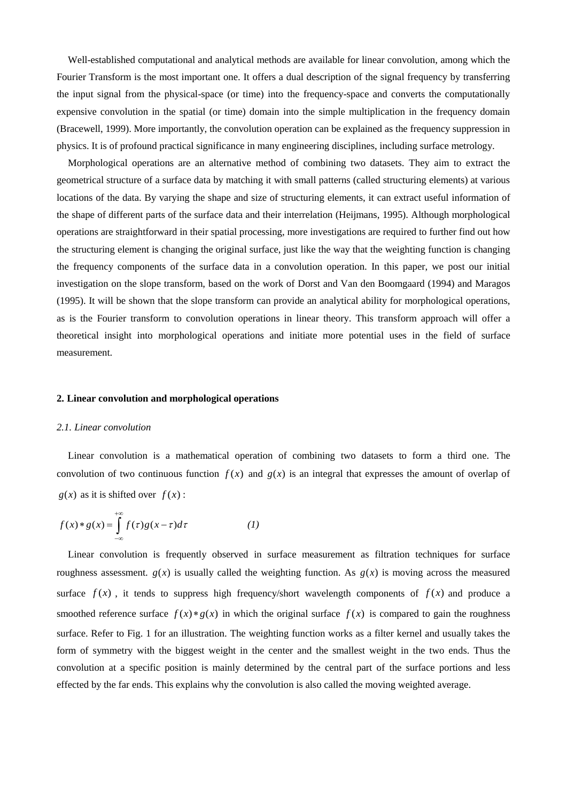Well-established computational and analytical methods are available for linear convolution, among which the Fourier Transform is the most important one. It offers a dual description of the signal frequency by transferring the input signal from the physical-space (or time) into the frequency-space and converts the computationally expensive convolution in the spatial (or time) domain into the simple multiplication in the frequency domain (Bracewell, 1999). More importantly, the convolution operation can be explained as the frequency suppression in physics. It is of profound practical significance in many engineering disciplines, including surface metrology.

Morphological operations are an alternative method of combining two datasets. They aim to extract the geometrical structure of a surface data by matching it with small patterns (called structuring elements) at various locations of the data. By varying the shape and size of structuring elements, it can extract useful information of the shape of different parts of the surface data and their interrelation (Heijmans, 1995). Although morphological operations are straightforward in their spatial processing, more investigations are required to further find out how the structuring element is changing the original surface, just like the way that the weighting function is changing the frequency components of the surface data in a convolution operation. In this paper, we post our initial investigation on the slope transform, based on the work of Dorst and Van den Boomgaard (1994) and Maragos (1995). It will be shown that the slope transform can provide an analytical ability for morphological operations, as is the Fourier transform to convolution operations in linear theory. This transform approach will offer a theoretical insight into morphological operations and initiate more potential uses in the field of surface measurement.

#### **2. Linear convolution and morphological operations**

#### *2.1. Linear convolution*

Linear convolution is a mathematical operation of combining two datasets to form a third one. The convolution of two continuous function  $f(x)$  and  $g(x)$  is an integral that expresses the amount of overlap of  $g(x)$  as it is shifted over  $f(x)$ :

$$
f(x) * g(x) = \int_{-\infty}^{+\infty} f(\tau)g(x-\tau)d\tau
$$
 (1)

Linear convolution is frequently observed in surface measurement as filtration techniques for surface roughness assessment.  $g(x)$  is usually called the weighting function. As  $g(x)$  is moving across the measured surface  $f(x)$ , it tends to suppress high frequency/short wavelength components of  $f(x)$  and produce a smoothed reference surface  $f(x) * g(x)$  in which the original surface  $f(x)$  is compared to gain the roughness surface. Refer to Fig. 1 for an illustration. The weighting function works as a filter kernel and usually takes the form of symmetry with the biggest weight in the center and the smallest weight in the two ends. Thus the convolution at a specific position is mainly determined by the central part of the surface portions and less effected by the far ends. This explains why the convolution is also called the moving weighted average.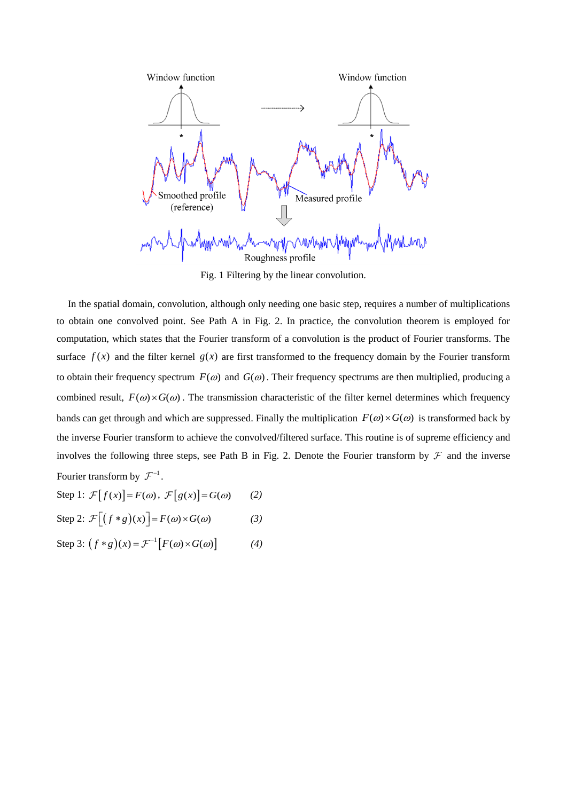

Fig. 1 Filtering by the linear convolution.

In the spatial domain, convolution, although only needing one basic step, requires a number of multiplications to obtain one convolved point. See Path A in Fig. 2. In practice, the convolution theorem is employed for computation, which states that the Fourier transform of a convolution is the product of Fourier transforms. The surface  $f(x)$  and the filter kernel  $g(x)$  are first transformed to the frequency domain by the Fourier transform to obtain their frequency spectrum  $F(\omega)$  and  $G(\omega)$ . Their frequency spectrums are then multiplied, producing a combined result,  $F(\omega) \times G(\omega)$ . The transmission characteristic of the filter kernel determines which frequency bands can get through and which are suppressed. Finally the multiplication  $F(\omega) \times G(\omega)$  is transformed back by the inverse Fourier transform to achieve the convolved/filtered surface. This routine is of supreme efficiency and involves the following three steps, see Path B in Fig. 2. Denote the Fourier transform by  $\mathcal F$  and the inverse Fourier transform by  $\mathcal{F}^{-1}$ .

Step 1: 
$$
\mathcal{F}[f(x)] = F(\omega), \mathcal{F}[g(x)] = G(\omega)
$$
 (2)

Step 2: 
$$
\mathcal{F}\left[\left(f * g\right)(x)\right] = F(\omega) \times G(\omega)
$$
 (3)

Step 3: 
$$
(f * g)(x) = \mathcal{F}^{-1}[F(\omega) \times G(\omega)]
$$
 (4)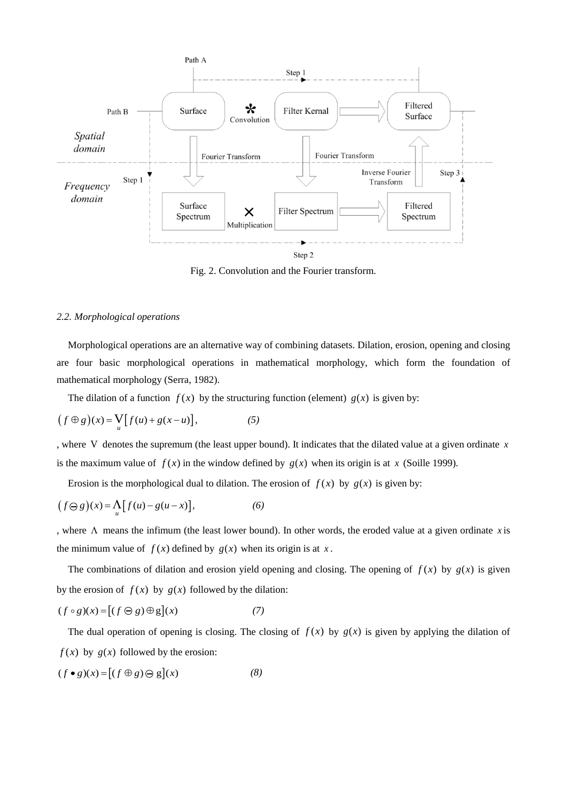

Fig. 2. Convolution and the Fourier transform.

#### *2.2. Morphological operations*

Morphological operations are an alternative way of combining datasets. Dilation, erosion, opening and closing are four basic morphological operations in mathematical morphology, which form the foundation of mathematical morphology (Serra, 1982).

The dilation of a function  $f(x)$  by the structuring function (element)  $g(x)$  is given by:

$$
(f \oplus g)(x) = \mathbf{V}\left[f(u) + g(x - u)\right],\tag{5}
$$

, where V denotes the supremum (the least upper bound). It indicates that the dilated value at a given ordinate *x* is the maximum value of  $f(x)$  in the window defined by  $g(x)$  when its origin is at x (Soille 1999).

Erosion is the morphological dual to dilation. The erosion of  $f(x)$  by  $g(x)$  is given by:

$$
(f \ominus g)(x) = \Lambda \Big[ f(u) - g(u - x) \Big], \tag{6}
$$

, where  $\Lambda$  means the infimum (the least lower bound). In other words, the eroded value at a given ordinate x is the minimum value of  $f(x)$  defined by  $g(x)$  when its origin is at x.

The combinations of dilation and erosion yield opening and closing. The opening of  $f(x)$  by  $g(x)$  is given by the erosion of  $f(x)$  by  $g(x)$  followed by the dilation:

$$
(f \circ g)(x) = [(f \ominus g) \oplus g](x) \tag{7}
$$

The dual operation of opening is closing. The closing of  $f(x)$  by  $g(x)$  is given by applying the dilation of  $f(x)$  by  $g(x)$  followed by the erosion:

$$
(f \bullet g)(x) = [(f \oplus g) \ominus g](x) \tag{8}
$$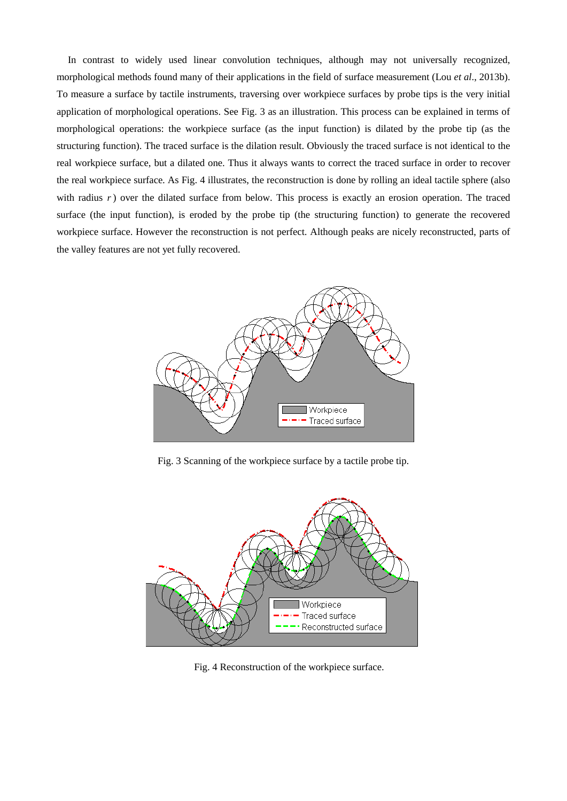In contrast to widely used linear convolution techniques, although may not universally recognized, morphological methods found many of their applications in the field of surface measurement (Lou *et al*., 2013b). To measure a surface by tactile instruments, traversing over workpiece surfaces by probe tips is the very initial application of morphological operations. See Fig. 3 as an illustration. This process can be explained in terms of morphological operations: the workpiece surface (as the input function) is dilated by the probe tip (as the structuring function). The traced surface is the dilation result. Obviously the traced surface is not identical to the real workpiece surface, but a dilated one. Thus it always wants to correct the traced surface in order to recover the real workpiece surface. As Fig. 4 illustrates, the reconstruction is done by rolling an ideal tactile sphere (also with radius r) over the dilated surface from below. This process is exactly an erosion operation. The traced surface (the input function), is eroded by the probe tip (the structuring function) to generate the recovered workpiece surface. However the reconstruction is not perfect. Although peaks are nicely reconstructed, parts of the valley features are not yet fully recovered.



Fig. 3 Scanning of the workpiece surface by a tactile probe tip.



Fig. 4 Reconstruction of the workpiece surface.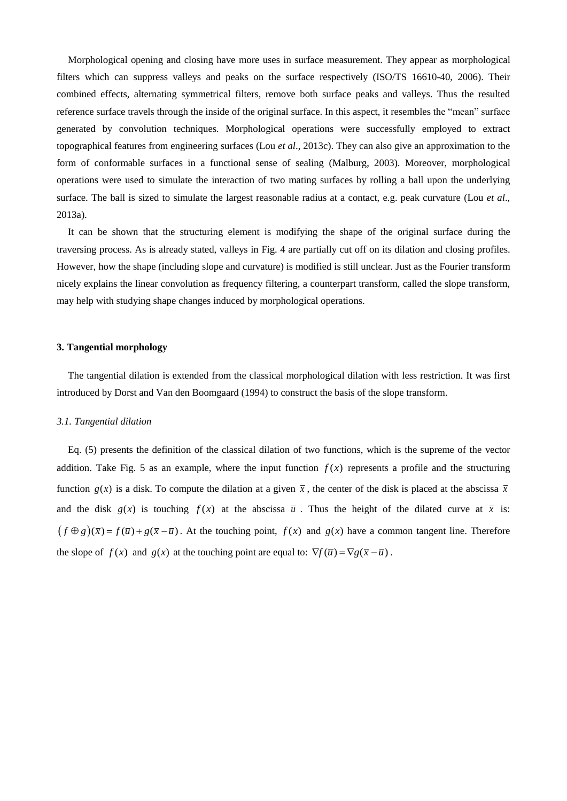Morphological opening and closing have more uses in surface measurement. They appear as morphological filters which can suppress valleys and peaks on the surface respectively (ISO/TS 16610-40, 2006). Their combined effects, alternating symmetrical filters, remove both surface peaks and valleys. Thus the resulted reference surface travels through the inside of the original surface. In this aspect, it resembles the "mean" surface generated by convolution techniques. Morphological operations were successfully employed to extract topographical features from engineering surfaces (Lou *et al*., 2013c). They can also give an approximation to the form of conformable surfaces in a functional sense of sealing (Malburg, 2003). Moreover, morphological operations were used to simulate the interaction of two mating surfaces by rolling a ball upon the underlying surface. The ball is sized to simulate the largest reasonable radius at a contact, e.g. peak curvature (Lou *et al*., 2013a).

It can be shown that the structuring element is modifying the shape of the original surface during the traversing process. As is already stated, valleys in Fig. 4 are partially cut off on its dilation and closing profiles. However, how the shape (including slope and curvature) is modified is still unclear. Just as the Fourier transform nicely explains the linear convolution as frequency filtering, a counterpart transform, called the slope transform, may help with studying shape changes induced by morphological operations.

#### **3. Tangential morphology**

The tangential dilation is extended from the classical morphological dilation with less restriction. It was first introduced by Dorst and Van den Boomgaard (1994) to construct the basis of the slope transform.

#### *3.1. Tangential dilation*

Eq. (5) presents the definition of the classical dilation of two functions, which is the supreme of the vector addition. Take Fig. 5 as an example, where the input function  $f(x)$  represents a profile and the structuring function  $g(x)$  is a disk. To compute the dilation at a given  $\bar{x}$ , the center of the disk is placed at the abscissa  $\bar{x}$ and the disk  $g(x)$  is touching  $f(x)$  at the abscissa  $\overline{u}$ . Thus the height of the dilated curve at  $\overline{x}$  is:  $(f \oplus g)(\overline{x}) = f(\overline{u}) + g(\overline{x} - \overline{u})$ . At the touching point,  $f(x)$  and  $g(x)$  have a common tangent line. Therefore the slope of  $f(x)$  and  $g(x)$  at the touching point are equal to:  $\nabla f(\overline{u}) = \nabla g(\overline{x} - \overline{u})$ .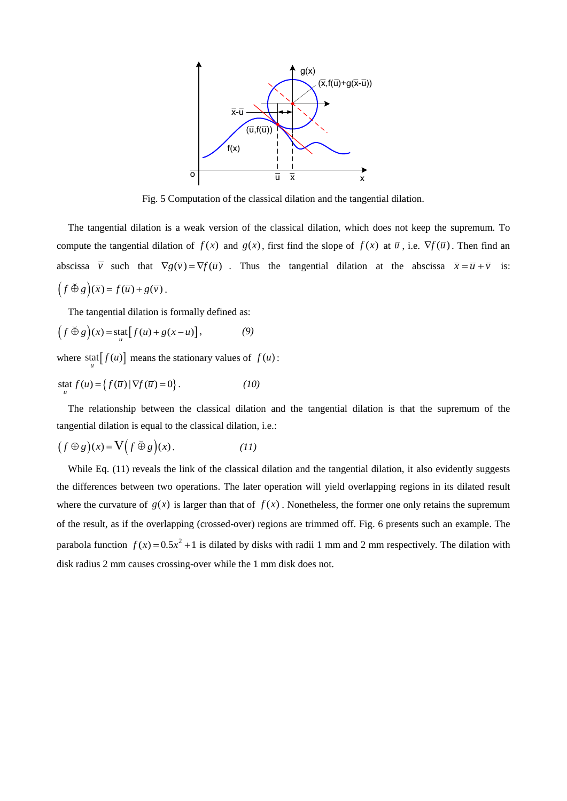

Fig. 5 Computation of the classical dilation and the tangential dilation.

The tangential dilation is a weak version of the classical dilation, which does not keep the supremum. To compute the tangential dilation of  $f(x)$  and  $g(x)$ , first find the slope of  $f(x)$  at  $\bar{u}$ , i.e.  $\nabla f(\bar{u})$ . Then find an abscissa  $\overline{v}$  such that  $\nabla g(\overline{v}) = \nabla f(\overline{u})$ . Thus the tangential dilation at the abscissa  $\overline{x} = \overline{u} + \overline{v}$  is:  $(f \stackrel{\sim}{\oplus} g)(\overline{x}) = f(\overline{u}) + g(\overline{v})$ .

The tangential dilation is formally defined as:

$$
(f \stackrel{\sim}{\oplus} g)(x) = \text{stat}[f(u) + g(x - u)], \qquad (9)
$$

where  $\text{stat}[f(u)]$  means the stationary values of  $f(u)$ :

$$
\operatorname{stat}_u f(u) = \left\{ f(\overline{u}) \, | \, \nabla f(\overline{u}) = 0 \right\}. \tag{10}
$$

The relationship between the classical dilation and the tangential dilation is that the supremum of the tangential dilation is equal to the classical dilation, i.e.:

$$
(f \oplus g)(x) = \mathbf{V}(f \tilde{\oplus} g)(x).
$$
 (11)

While Eq. (11) reveals the link of the classical dilation and the tangential dilation, it also evidently suggests the differences between two operations. The later operation will yield overlapping regions in its dilated result where the curvature of  $g(x)$  is larger than that of  $f(x)$ . Nonetheless, the former one only retains the supremum of the result, as if the overlapping (crossed-over) regions are trimmed off. Fig. 6 presents such an example. The parabola function  $f(x) = 0.5x^2 + 1$  is dilated by disks with radii 1 mm and 2 mm respectively. The dilation with disk radius 2 mm causes crossing-over while the 1 mm disk does not.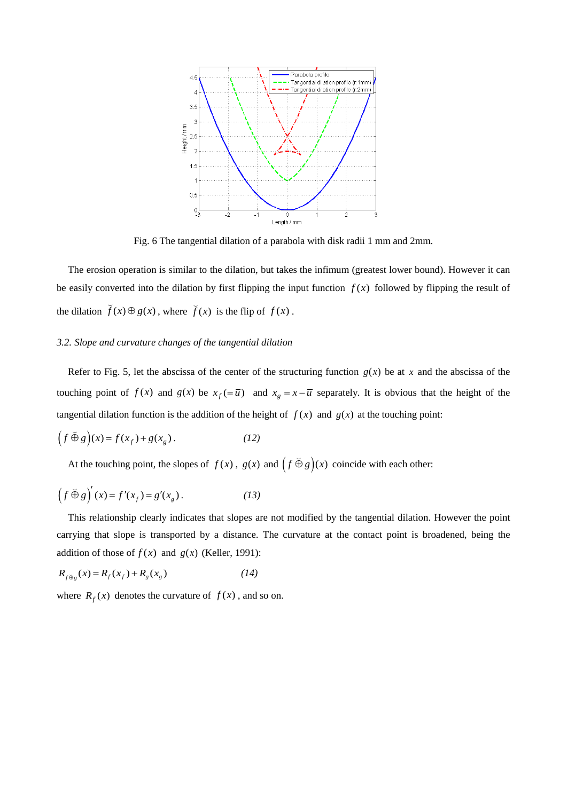

Fig. 6 The tangential dilation of a parabola with disk radii 1 mm and 2mm.

The erosion operation is similar to the dilation, but takes the infimum (greatest lower bound). However it can be easily converted into the dilation by first flipping the input function  $f(x)$  followed by flipping the result of the dilation  $f(x) \oplus g(x)$ , where  $f(x)$  is the flip of  $f(x)$ .

## *3.2. Slope and curvature changes of the tangential dilation*

Refer to Fig. 5, let the abscissa of the center of the structuring function  $g(x)$  be at x and the abscissa of the touching point of  $f(x)$  and  $g(x)$  be  $x_f = \overline{u}$  and  $x_g = x - \overline{u}$  separately. It is obvious that the height of the tangential dilation function is the addition of the height of  $f(x)$  and  $g(x)$  at the touching point:

$$
(f \stackrel{\sim}{\oplus} g)(x) = f(x_f) + g(x_g). \tag{12}
$$

At the touching point, the slopes of  $f(x)$ ,  $g(x)$  and  $(f \oplus g)(x)$  coincide with each other:

$$
\left(f \stackrel{\sim}{\oplus} g\right)'(x) = f'(x_f) = g'(x_g). \tag{13}
$$

This relationship clearly indicates that slopes are not modified by the tangential dilation. However the point carrying that slope is transported by a distance. The curvature at the contact point is broadened, being the addition of those of  $f(x)$  and  $g(x)$  (Keller, 1991):

$$
R_{f\bar{\oplus}g}(x) = R_f(x_f) + R_g(x_g)
$$
 (14)

where  $R_f(x)$  denotes the curvature of  $f(x)$ , and so on.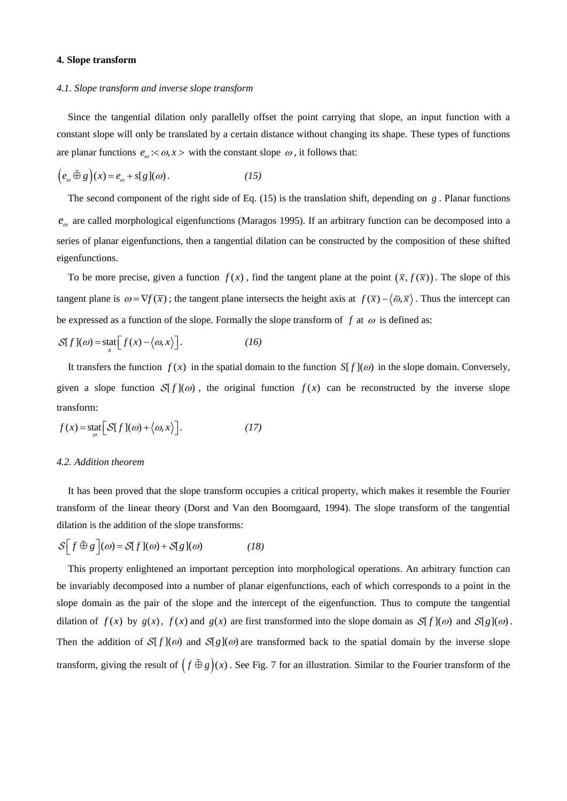## **4. Slope transform**

### *4.1. Slope transform and inverse slope transform*

Since the tangential dilation only parallelly offset the point carrying that slope, an input function with a constant slope will only be translated by a certain distance without changing its shape. These types of functions are planar functions  $e_{\omega}$   $\leq \omega$ ,  $x$   $>$  with the constant slope  $\omega$ , it follows that:

$$
\left(e_{\omega}\stackrel{\sim}{\oplus}g\right)(x)=e_{\omega}+s[g](\omega).
$$
 (15)

The second component of the right side of Eq. (15) is the translation shift, depending on *g* . Planar functions  $e_{\omega}$  are called morphological eigenfunctions (Maragos 1995). If an arbitrary function can be decomposed into a series of planar eigenfunctions, then a tangential dilation can be constructed by the composition of these shifted eigenfunctions.

To be more precise, given a function  $f(x)$ , find the tangent plane at the point  $(\bar{x}, f(\bar{x}))$ . The slope of this tangent plane is  $\omega = \nabla f(\bar{x})$ ; the tangent plane intersects the height axis at  $f(\bar{x}) - \langle \bar{\omega}, \bar{x} \rangle$ . Thus the intercept can be expressed as a function of the slope. Formally the slope transform of  $f$  at  $\omega$  is defined as:

$$
S[f](\omega) = \text{stat}\Big[f(x) - \langle \omega, x \rangle\Big].
$$
 (16)

It transfers the function  $f(x)$  in the spatial domain to the function  $S[f](\omega)$  in the slope domain. Conversely, given a slope function  $S[f](\omega)$ , the original function  $f(x)$  can be reconstructed by the inverse slope transform:

$$
f(x) = \operatorname{stat}_{\omega} \left[ \mathcal{S}[f](\omega) + \langle \omega, x \rangle \right]. \tag{17}
$$

#### *4.2. Addition theorem*

It has been proved that the slope transform occupies a critical property, which makes it resemble the Fourier transform of the linear theory (Dorst and Van den Boomgaard, 1994). The slope transform of the tangential dilation is the addition of the slope transforms:

$$
S[f \stackrel{\sim}{\oplus} g](\omega) = S[f](\omega) + S[g](\omega)
$$
 (18)

This property enlightened an important perception into morphological operations. An arbitrary function can be invariably decomposed into a number of planar eigenfunctions, each of which corresponds to a point in the slope domain as the pair of the slope and the intercept of the eigenfunction. Thus to compute the tangential dilation of  $f(x)$  by  $g(x)$ ,  $f(x)$  and  $g(x)$  are first transformed into the slope domain as  $S[f](\omega)$  and  $S[g](\omega)$ . Then the addition of  $S[f](\omega)$  and  $S[g](\omega)$  are transformed back to the spatial domain by the inverse slope transform, giving the result of  $(f \oplus g)(x)$ . See Fig. 7 for an illustration. Similar to the Fourier transform of the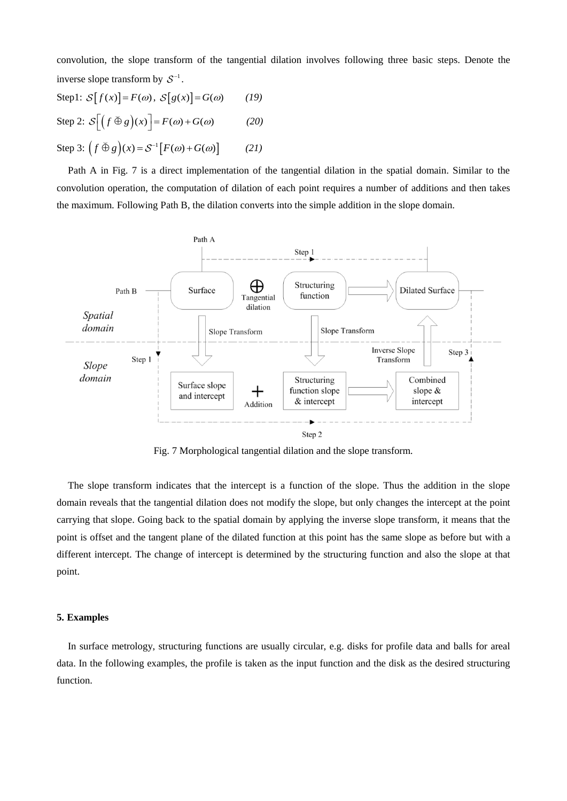convolution, the slope transform of the tangential dilation involves following three basic steps. Denote the inverse slope transform by  $S^{-1}$ .

Step1:  $S[f(x)] = F(\omega), S[g(x)] = G(\omega)$  (19) Step 2:  $S[(f \oplus g)(x)] = F(\omega) + G(\omega)$  *(20)* Step 3:  $(f \oplus g)(x) = S^{-1}[F(\omega) + G(\omega)]$  (21)

Path A in Fig. 7 is a direct implementation of the tangential dilation in the spatial domain. Similar to the convolution operation, the computation of dilation of each point requires a number of additions and then takes the maximum. Following Path B, the dilation converts into the simple addition in the slope domain.



Fig. 7 Morphological tangential dilation and the slope transform.

The slope transform indicates that the intercept is a function of the slope. Thus the addition in the slope domain reveals that the tangential dilation does not modify the slope, but only changes the intercept at the point carrying that slope. Going back to the spatial domain by applying the inverse slope transform, it means that the point is offset and the tangent plane of the dilated function at this point has the same slope as before but with a different intercept. The change of intercept is determined by the structuring function and also the slope at that point.

#### **5. Examples**

In surface metrology, structuring functions are usually circular, e.g. disks for profile data and balls for areal data. In the following examples, the profile is taken as the input function and the disk as the desired structuring function.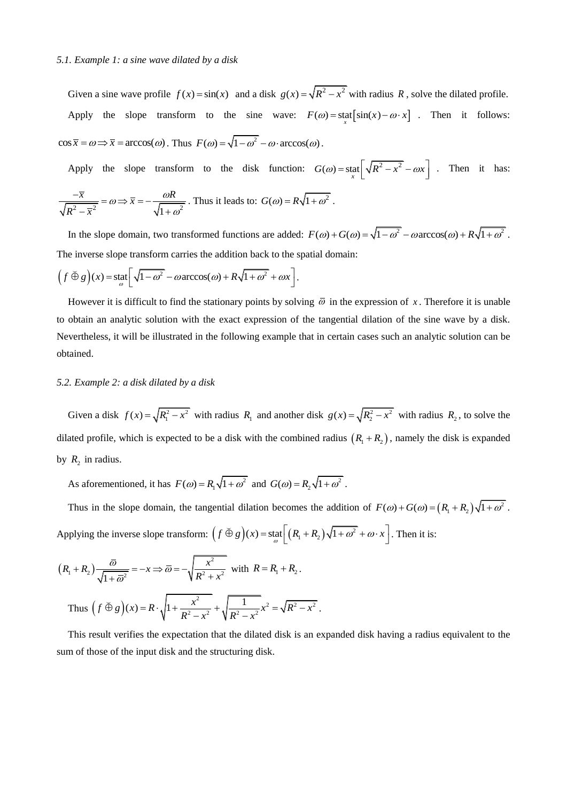Given a sine wave profile  $f(x) = \sin(x)$  and a disk  $g(x) = \sqrt{R^2 - x^2}$  with radius R, solve the dilated profile. Apply the slope transform to the sine wave:  $F(\omega) = \text{stat}[\sin(x) - \omega \cdot x]$ . Then it follows:  $\cos \overline{x} = \omega \Longrightarrow \overline{x} = \arccos(\omega)$ . Thus  $F(\omega) = \sqrt{1 - \omega^2} - \omega \cdot \arccos(\omega)$ .

Apply the slope transform to the disk function:  $G(\omega) = \text{stat} \left[ \sqrt{R^2 - x^2} - \omega x \right]$ . . Then it has:

$$
\frac{-\overline{x}}{\sqrt{R^2 - \overline{x}^2}} = \omega \Longrightarrow \overline{x} = -\frac{\omega R}{\sqrt{1 + \omega^2}}.
$$
 Thus it leads to:  $G(\omega) = R\sqrt{1 + \omega^2}$ .

In the slope domain, two transformed functions are added:  $F(\omega) + G(\omega) = \sqrt{1 - \omega^2} - \omega \arccos(\omega) + R\sqrt{1 + \omega^2}$ .

The inverse slope transform carries the addition back to the spatial domain:  
\n
$$
(f \stackrel{\sim}{\oplus} g)(x) = \text{stat} \left[ \sqrt{1 - \omega^2} - \omega \arccos(\omega) + R\sqrt{1 + \omega^2} + \omega x \right].
$$

However it is difficult to find the stationary points by solving  $\bar{\omega}$  in the expression of x. Therefore it is unable to obtain an analytic solution with the exact expression of the tangential dilation of the sine wave by a disk. Nevertheless, it will be illustrated in the following example that in certain cases such an analytic solution can be obtained.

### *5.2. Example 2: a disk dilated by a disk*

Given a disk  $f(x) = \sqrt{R_1^2 - x^2}$  with radius  $R_1$  and another disk  $g(x) = \sqrt{R_2^2 - x^2}$  with radius  $R_2$ , to solve the dilated profile, which is expected to be a disk with the combined radius  $(R_1 + R_2)$ , namely the disk is expanded by  $R_2$  in radius.

As aforementioned, it has  $F(\omega) = R_1 \sqrt{1 + \omega^2}$  and  $G(\omega) = R_2 \sqrt{1 + \omega^2}$ .

Thus in the slope domain, the tangential dilation becomes the addition of  $F(\omega) + G(\omega) = (R_1 + R_2)\sqrt{1 + \omega^2}$ .

Applying the inverse slope transform:  $(f \oplus g)(x) = \text{stat} \left( (R_1 + R_2) \sqrt{1 + \omega^2} \right)$  $f \stackrel{.}{\Theta} g(x) = \text{stat} \left[ \left( R_1 + R_2 \right) \sqrt{1 + \omega^2} + \omega \cdot x \right].$  The . Then it is:

$$
(R_1 + R_2) \frac{\overline{\omega}}{\sqrt{1 + \overline{\omega}^2}} = -x \Rightarrow \overline{\omega} = -\sqrt{\frac{x^2}{R^2 + x^2}} \text{ with } R = R_1 + R_2.
$$
  
Thus  $(f \oplus g)(x) = R \cdot \sqrt{1 + \frac{x^2}{R^2 - x^2}} + \sqrt{\frac{1}{R^2 - x^2}} x^2 = \sqrt{R^2 - x^2}.$ 

This result verifies the expectation that the dilated disk is an expanded disk having a radius equivalent to the sum of those of the input disk and the structuring disk.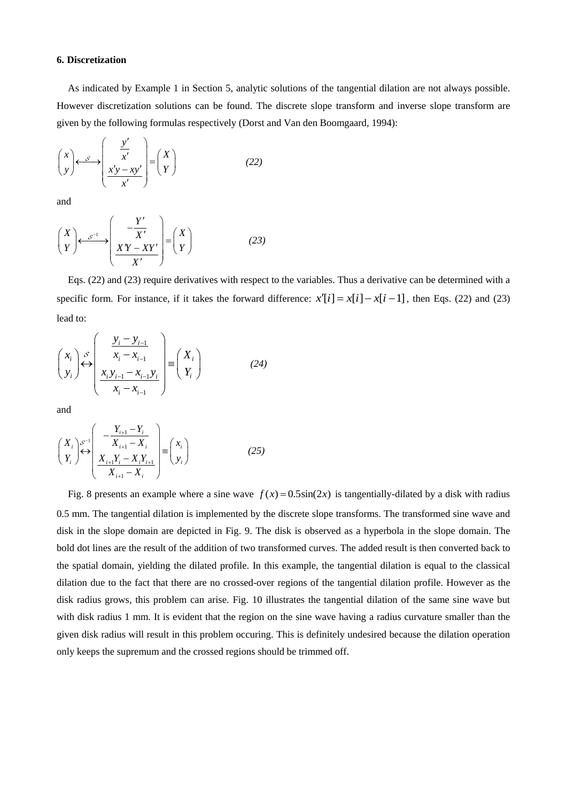### **6. Discretization**

As indicated by Example 1 in Section 5, analytic solutions of the tangential dilation are not always possible. However discretization solutions can be found. The discrete slope transform and inverse slope transform are given by the following formulas respectively (Dorst and Van den Boomgaard, 1994):

$$
\begin{pmatrix} x \\ y \end{pmatrix} \longleftrightarrow \begin{pmatrix} \frac{y'}{x'} \\ \frac{x'y - xy'}{x'} \end{pmatrix} = \begin{pmatrix} X \\ Y \end{pmatrix}
$$
 (22)

and

$$
\begin{pmatrix} X \\ Y \end{pmatrix} \leftarrow \frac{\mathcal{S}^{-1}}{XY} \begin{pmatrix} -\frac{Y'}{X'} \\ \frac{XY - XY'}{X'} \end{pmatrix} = \begin{pmatrix} X \\ Y \end{pmatrix}
$$
 (23)

Eqs. (22) and (23) require derivatives with respect to the variables. Thus a derivative can be determined with a specific form. For instance, if it takes the forward difference:  $x'[i] = x[i] - x[i-1]$ , then Eqs. (22) and (23) lead to:

$$
\begin{pmatrix} x_i \\ y_i \end{pmatrix} \xleftarrow{\mathcal{S}} \begin{pmatrix} \frac{y_i - y_{i-1}}{x_i - x_{i-1}} \\ \frac{x_i y_{i-1} - x_{i-1} y_i}{x_i - x_{i-1}} \end{pmatrix} \equiv \begin{pmatrix} X_i \\ Y_i \end{pmatrix}
$$
 (24)

and

$$
\begin{pmatrix} X_i \\ Y_i \end{pmatrix} \stackrel{\sigma^{-1}}{\leftrightarrow} \begin{pmatrix} -\frac{Y_{i+1} - Y_i}{X_{i+1} - X_i} \\ \frac{X_{i+1} Y_i - X_i Y_{i+1}}{X_{i+1} - X_i} \end{pmatrix} \equiv \begin{pmatrix} x_i \\ y_i \end{pmatrix}
$$
\n(25)

Fig. 8 presents an example where a sine wave  $f(x) = 0.5\sin(2x)$  is tangentially-dilated by a disk with radius 0.5 mm. The tangential dilation is implemented by the discrete slope transforms. The transformed sine wave and disk in the slope domain are depicted in Fig. 9. The disk is observed as a hyperbola in the slope domain. The bold dot lines are the result of the addition of two transformed curves. The added result is then converted back to the spatial domain, yielding the dilated profile. In this example, the tangential dilation is equal to the classical dilation due to the fact that there are no crossed-over regions of the tangential dilation profile. However as the disk radius grows, this problem can arise. Fig. 10 illustrates the tangential dilation of the same sine wave but with disk radius 1 mm. It is evident that the region on the sine wave having a radius curvature smaller than the given disk radius will result in this problem occuring. This is definitely undesired because the dilation operation only keeps the supremum and the crossed regions should be trimmed off.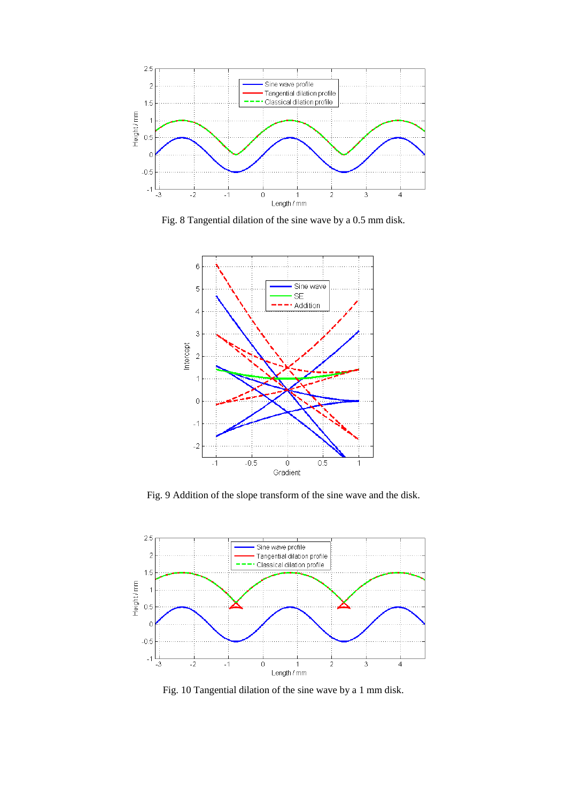





Fig. 9 Addition of the slope transform of the sine wave and the disk.



Fig. 10 Tangential dilation of the sine wave by a 1 mm disk.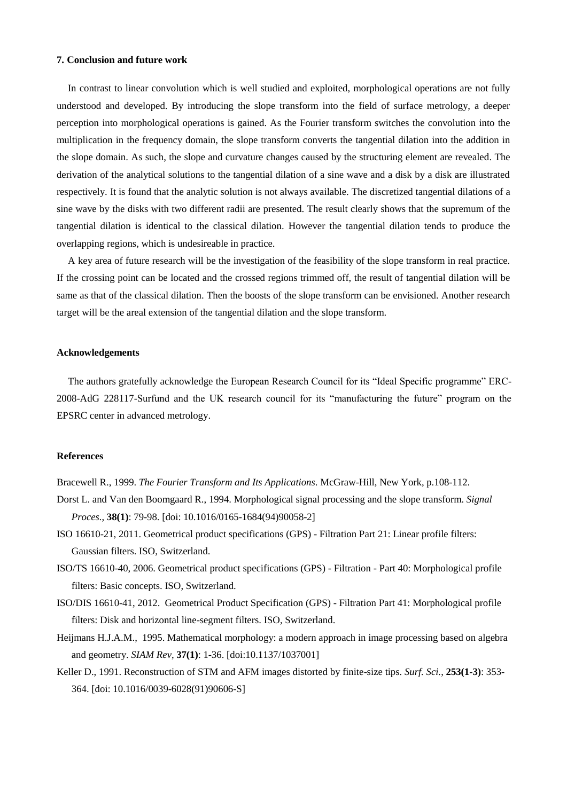#### **7. Conclusion and future work**

In contrast to linear convolution which is well studied and exploited, morphological operations are not fully understood and developed. By introducing the slope transform into the field of surface metrology, a deeper perception into morphological operations is gained. As the Fourier transform switches the convolution into the multiplication in the frequency domain, the slope transform converts the tangential dilation into the addition in the slope domain. As such, the slope and curvature changes caused by the structuring element are revealed. The derivation of the analytical solutions to the tangential dilation of a sine wave and a disk by a disk are illustrated respectively. It is found that the analytic solution is not always available. The discretized tangential dilations of a sine wave by the disks with two different radii are presented. The result clearly shows that the supremum of the tangential dilation is identical to the classical dilation. However the tangential dilation tends to produce the overlapping regions, which is undesireable in practice.

A key area of future research will be the investigation of the feasibility of the slope transform in real practice. If the crossing point can be located and the crossed regions trimmed off, the result of tangential dilation will be same as that of the classical dilation. Then the boosts of the slope transform can be envisioned. Another research target will be the areal extension of the tangential dilation and the slope transform.

#### **Acknowledgements**

The authors gratefully acknowledge the European Research Council for its "Ideal Specific programme" ERC-2008-AdG 228117-Surfund and the UK research council for its "manufacturing the future" program on the EPSRC center in advanced metrology.

#### **References**

Bracewell R., 1999. *The Fourier Transform and Its Applications*. McGraw-Hill, New York, p.108-112.

- Dorst L. and Van den Boomgaard R., 1994. Morphological signal processing and the slope transform. *Signal Proces.*, **38(1)**: 79-98. [doi: 10.1016/0165-1684(94)90058-2]
- ISO 16610-21, 2011. Geometrical product specifications (GPS) Filtration Part 21: Linear profile filters: Gaussian filters. ISO, Switzerland.
- ISO/TS 16610-40, 2006. Geometrical product specifications (GPS) Filtration Part 40: Morphological profile filters: Basic concepts. ISO, Switzerland.
- ISO/DIS 16610-41, 2012. Geometrical Product Specification (GPS) Filtration Part 41: Morphological profile filters: Disk and horizontal line-segment filters. ISO, Switzerland.
- Heijmans H.J.A.M., 1995. Mathematical morphology: a modern approach in image processing based on algebra and geometry. *SIAM Rev*, **37(1)**: 1-36. [doi:10.1137/1037001]
- Keller D., 1991. Reconstruction of STM and AFM images distorted by finite-size tips. *Surf. Sci.*, **253(1-3)**: 353- 364. [doi: 10.1016/0039-6028(91)90606-S]